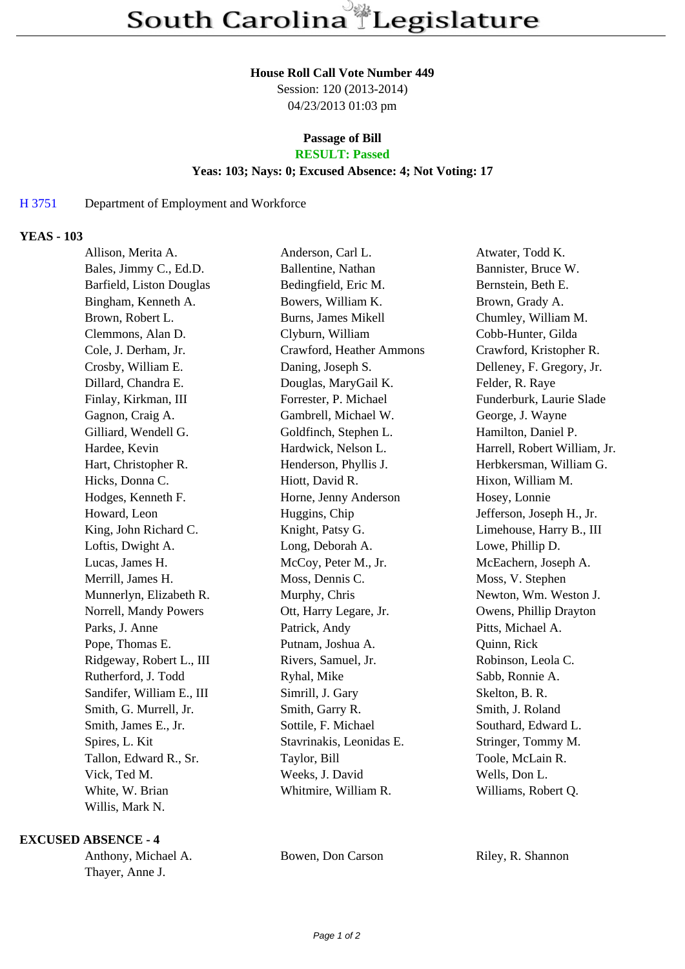#### **House Roll Call Vote Number 449**

Session: 120 (2013-2014) 04/23/2013 01:03 pm

# **Passage of Bill**

# **RESULT: Passed**

#### **Yeas: 103; Nays: 0; Excused Absence: 4; Not Voting: 17**

## H 3751 Department of Employment and Workforce

## **YEAS - 103**

| Allison, Merita A.        | Anderson, Carl L.        | Atwater, Todd K.             |
|---------------------------|--------------------------|------------------------------|
| Bales, Jimmy C., Ed.D.    | Ballentine, Nathan       | Bannister, Bruce W.          |
| Barfield, Liston Douglas  | Bedingfield, Eric M.     | Bernstein, Beth E.           |
| Bingham, Kenneth A.       | Bowers, William K.       | Brown, Grady A.              |
| Brown, Robert L.          | Burns, James Mikell      | Chumley, William M.          |
| Clemmons, Alan D.         | Clyburn, William         | Cobb-Hunter, Gilda           |
| Cole, J. Derham, Jr.      | Crawford, Heather Ammons | Crawford, Kristopher R.      |
| Crosby, William E.        | Daning, Joseph S.        | Delleney, F. Gregory, Jr.    |
| Dillard, Chandra E.       | Douglas, MaryGail K.     | Felder, R. Raye              |
| Finlay, Kirkman, III      | Forrester, P. Michael    | Funderburk, Laurie Slade     |
| Gagnon, Craig A.          | Gambrell, Michael W.     | George, J. Wayne             |
| Gilliard, Wendell G.      | Goldfinch, Stephen L.    | Hamilton, Daniel P.          |
| Hardee, Kevin             | Hardwick, Nelson L.      | Harrell, Robert William, Jr. |
| Hart, Christopher R.      | Henderson, Phyllis J.    | Herbkersman, William G.      |
| Hicks, Donna C.           | Hiott, David R.          | Hixon, William M.            |
| Hodges, Kenneth F.        | Horne, Jenny Anderson    | Hosey, Lonnie                |
| Howard, Leon              | Huggins, Chip            | Jefferson, Joseph H., Jr.    |
| King, John Richard C.     | Knight, Patsy G.         | Limehouse, Harry B., III     |
| Loftis, Dwight A.         | Long, Deborah A.         | Lowe, Phillip D.             |
| Lucas, James H.           | McCoy, Peter M., Jr.     | McEachern, Joseph A.         |
| Merrill, James H.         | Moss, Dennis C.          | Moss, V. Stephen             |
| Munnerlyn, Elizabeth R.   | Murphy, Chris            | Newton, Wm. Weston J.        |
| Norrell, Mandy Powers     | Ott, Harry Legare, Jr.   | Owens, Phillip Drayton       |
| Parks, J. Anne            | Patrick, Andy            | Pitts, Michael A.            |
| Pope, Thomas E.           | Putnam, Joshua A.        | Quinn, Rick                  |
| Ridgeway, Robert L., III  | Rivers, Samuel, Jr.      | Robinson, Leola C.           |
| Rutherford, J. Todd       | Ryhal, Mike              | Sabb, Ronnie A.              |
| Sandifer, William E., III | Simrill, J. Gary         | Skelton, B. R.               |
| Smith, G. Murrell, Jr.    | Smith, Garry R.          | Smith, J. Roland             |
| Smith, James E., Jr.      | Sottile, F. Michael      | Southard, Edward L.          |
| Spires, L. Kit            | Stavrinakis, Leonidas E. | Stringer, Tommy M.           |
| Tallon, Edward R., Sr.    | Taylor, Bill             | Toole, McLain R.             |
| Vick, Ted M.              | Weeks, J. David          | Wells, Don L.                |
| White, W. Brian           | Whitmire, William R.     | Williams, Robert Q.          |
| Willis, Mark N.           |                          |                              |

#### **EXCUSED ABSENCE - 4**

Thayer, Anne J.

Anthony, Michael A. Bowen, Don Carson Riley, R. Shannon